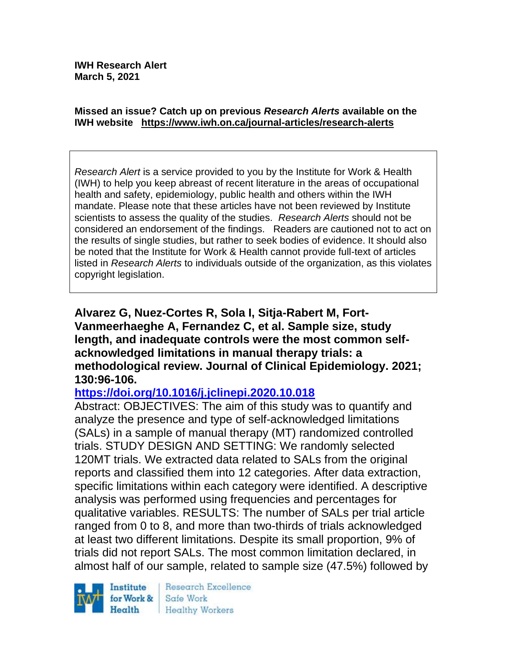#### **Missed an issue? Catch up on previous** *Research Alerts* **available on the [IWH website](http://www.iwh.on.ca/research-alerts) <https://www.iwh.on.ca/journal-articles/research-alerts>**

*Research Alert* is a service provided to you by the Institute for Work & Health (IWH) to help you keep abreast of recent literature in the areas of occupational health and safety, epidemiology, public health and others within the IWH mandate. Please note that these articles have not been reviewed by Institute scientists to assess the quality of the studies. *Research Alerts* should not be considered an endorsement of the findings. Readers are cautioned not to act on the results of single studies, but rather to seek bodies of evidence. It should also be noted that the Institute for Work & Health cannot provide full-text of articles listed in *Research Alerts* to individuals outside of the organization, as this violates copyright legislation.

**Alvarez G, Nuez-Cortes R, Sola I, Sitja-Rabert M, Fort-Vanmeerhaeghe A, Fernandez C, et al. Sample size, study length, and inadequate controls were the most common selfacknowledged limitations in manual therapy trials: a methodological review. Journal of Clinical Epidemiology. 2021; 130:96-106.** 

### **<https://doi.org/10.1016/j.jclinepi.2020.10.018>**

Abstract: OBJECTIVES: The aim of this study was to quantify and analyze the presence and type of self-acknowledged limitations (SALs) in a sample of manual therapy (MT) randomized controlled trials. STUDY DESIGN AND SETTING: We randomly selected 120MT trials. We extracted data related to SALs from the original reports and classified them into 12 categories. After data extraction, specific limitations within each category were identified. A descriptive analysis was performed using frequencies and percentages for qualitative variables. RESULTS: The number of SALs per trial article ranged from 0 to 8, and more than two-thirds of trials acknowledged at least two different limitations. Despite its small proportion, 9% of trials did not report SALs. The most common limitation declared, in almost half of our sample, related to sample size (47.5%) followed by



Research Excellence Safe Work Healthy Workers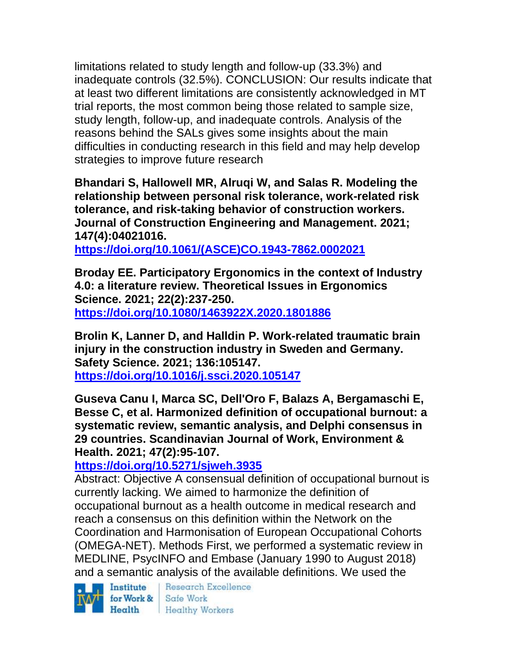limitations related to study length and follow-up (33.3%) and inadequate controls (32.5%). CONCLUSION: Our results indicate that at least two different limitations are consistently acknowledged in MT trial reports, the most common being those related to sample size, study length, follow-up, and inadequate controls. Analysis of the reasons behind the SALs gives some insights about the main difficulties in conducting research in this field and may help develop strategies to improve future research

**Bhandari S, Hallowell MR, Alruqi W, and Salas R. Modeling the relationship between personal risk tolerance, work-related risk tolerance, and risk-taking behavior of construction workers. Journal of Construction Engineering and Management. 2021; 147(4):04021016.**

**[https://doi.org/10.1061/\(ASCE\)CO.1943-7862.0002021](https://doi.org/10.1061/(ASCE)CO.1943-7862.0002021)** 

**Broday EE. Participatory Ergonomics in the context of Industry 4.0: a literature review. Theoretical Issues in Ergonomics Science. 2021; 22(2):237-250. <https://doi.org/10.1080/1463922X.2020.1801886>** 

**Brolin K, Lanner D, and Halldin P. Work-related traumatic brain injury in the construction industry in Sweden and Germany. Safety Science. 2021; 136:105147. <https://doi.org/10.1016/j.ssci.2020.105147>** 

**Guseva Canu I, Marca SC, Dell'Oro F, Balazs A, Bergamaschi E, Besse C, et al. Harmonized definition of occupational burnout: a systematic review, semantic analysis, and Delphi consensus in 29 countries. Scandinavian Journal of Work, Environment & Health. 2021; 47(2):95-107.** 

**<https://doi.org/10.5271/sjweh.3935>** 

Abstract: Objective A consensual definition of occupational burnout is currently lacking. We aimed to harmonize the definition of occupational burnout as a health outcome in medical research and reach a consensus on this definition within the Network on the Coordination and Harmonisation of European Occupational Cohorts (OMEGA-NET). Methods First, we performed a systematic review in MEDLINE, PsycINFO and Embase (January 1990 to August 2018) and a semantic analysis of the available definitions. We used the



Research Excellence Health Healthy Workers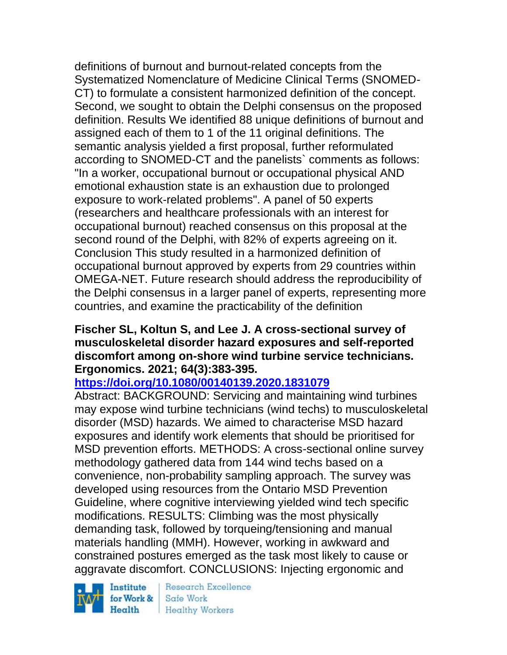definitions of burnout and burnout-related concepts from the Systematized Nomenclature of Medicine Clinical Terms (SNOMED-CT) to formulate a consistent harmonized definition of the concept. Second, we sought to obtain the Delphi consensus on the proposed definition. Results We identified 88 unique definitions of burnout and assigned each of them to 1 of the 11 original definitions. The semantic analysis yielded a first proposal, further reformulated according to SNOMED-CT and the panelists` comments as follows: "In a worker, occupational burnout or occupational physical AND emotional exhaustion state is an exhaustion due to prolonged exposure to work-related problems". A panel of 50 experts (researchers and healthcare professionals with an interest for occupational burnout) reached consensus on this proposal at the second round of the Delphi, with 82% of experts agreeing on it. Conclusion This study resulted in a harmonized definition of occupational burnout approved by experts from 29 countries within OMEGA-NET. Future research should address the reproducibility of the Delphi consensus in a larger panel of experts, representing more countries, and examine the practicability of the definition

### **Fischer SL, Koltun S, and Lee J. A cross-sectional survey of musculoskeletal disorder hazard exposures and self-reported discomfort among on-shore wind turbine service technicians. Ergonomics. 2021; 64(3):383-395.**

### **<https://doi.org/10.1080/00140139.2020.1831079>**

Abstract: BACKGROUND: Servicing and maintaining wind turbines may expose wind turbine technicians (wind techs) to musculoskeletal disorder (MSD) hazards. We aimed to characterise MSD hazard exposures and identify work elements that should be prioritised for MSD prevention efforts. METHODS: A cross-sectional online survey methodology gathered data from 144 wind techs based on a convenience, non-probability sampling approach. The survey was developed using resources from the Ontario MSD Prevention Guideline, where cognitive interviewing yielded wind tech specific modifications. RESULTS: Climbing was the most physically demanding task, followed by torqueing/tensioning and manual materials handling (MMH). However, working in awkward and constrained postures emerged as the task most likely to cause or aggravate discomfort. CONCLUSIONS: Injecting ergonomic and

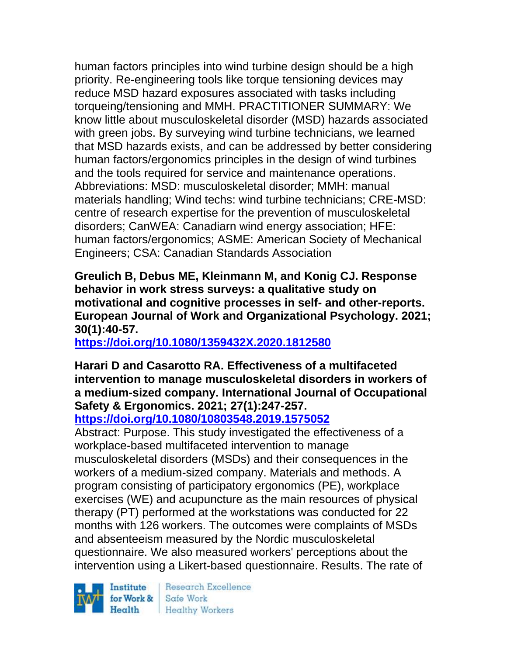human factors principles into wind turbine design should be a high priority. Re-engineering tools like torque tensioning devices may reduce MSD hazard exposures associated with tasks including torqueing/tensioning and MMH. PRACTITIONER SUMMARY: We know little about musculoskeletal disorder (MSD) hazards associated with green jobs. By surveying wind turbine technicians, we learned that MSD hazards exists, and can be addressed by better considering human factors/ergonomics principles in the design of wind turbines and the tools required for service and maintenance operations. Abbreviations: MSD: musculoskeletal disorder; MMH: manual materials handling; Wind techs: wind turbine technicians; CRE-MSD: centre of research expertise for the prevention of musculoskeletal disorders; CanWEA: Canadiarn wind energy association; HFE: human factors/ergonomics; ASME: American Society of Mechanical Engineers; CSA: Canadian Standards Association

**Greulich B, Debus ME, Kleinmann M, and Konig CJ. Response behavior in work stress surveys: a qualitative study on motivational and cognitive processes in self- and other-reports. European Journal of Work and Organizational Psychology. 2021; 30(1):40-57.** 

**<https://doi.org/10.1080/1359432X.2020.1812580>** 

# **Harari D and Casarotto RA. Effectiveness of a multifaceted intervention to manage musculoskeletal disorders in workers of a medium-sized company. International Journal of Occupational Safety & Ergonomics. 2021; 27(1):247-257.**

**<https://doi.org/10.1080/10803548.2019.1575052>** 

Abstract: Purpose. This study investigated the effectiveness of a workplace-based multifaceted intervention to manage musculoskeletal disorders (MSDs) and their consequences in the workers of a medium-sized company. Materials and methods. A program consisting of participatory ergonomics (PE), workplace exercises (WE) and acupuncture as the main resources of physical therapy (PT) performed at the workstations was conducted for 22 months with 126 workers. The outcomes were complaints of MSDs and absenteeism measured by the Nordic musculoskeletal questionnaire. We also measured workers' perceptions about the intervention using a Likert-based questionnaire. Results. The rate of

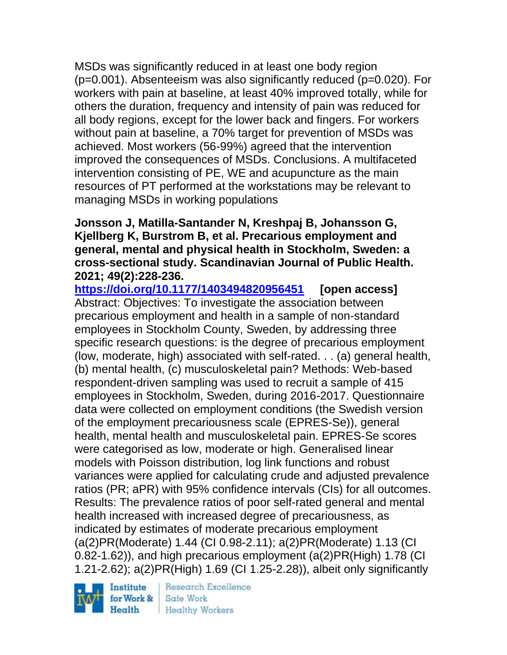MSDs was significantly reduced in at least one body region  $(p=0.001)$ . Absenteeism was also significantly reduced  $(p=0.020)$ . For workers with pain at baseline, at least 40% improved totally, while for others the duration, frequency and intensity of pain was reduced for all body regions, except for the lower back and fingers. For workers without pain at baseline, a 70% target for prevention of MSDs was achieved. Most workers (56-99%) agreed that the intervention improved the consequences of MSDs. Conclusions. A multifaceted intervention consisting of PE, WE and acupuncture as the main resources of PT performed at the workstations may be relevant to managing MSDs in working populations

### **Jonsson J, Matilla-Santander N, Kreshpaj B, Johansson G, Kjellberg K, Burstrom B, et al. Precarious employment and general, mental and physical health in Stockholm, Sweden: a cross-sectional study. Scandinavian Journal of Public Health. 2021; 49(2):228-236.**

**<https://doi.org/10.1177/1403494820956451> [open access]** Abstract: Objectives: To investigate the association between precarious employment and health in a sample of non-standard employees in Stockholm County, Sweden, by addressing three specific research questions: is the degree of precarious employment (low, moderate, high) associated with self-rated. . . (a) general health, (b) mental health, (c) musculoskeletal pain? Methods: Web-based respondent-driven sampling was used to recruit a sample of 415 employees in Stockholm, Sweden, during 2016-2017. Questionnaire data were collected on employment conditions (the Swedish version of the employment precariousness scale (EPRES-Se)), general health, mental health and musculoskeletal pain. EPRES-Se scores were categorised as low, moderate or high. Generalised linear models with Poisson distribution, log link functions and robust variances were applied for calculating crude and adjusted prevalence ratios (PR; aPR) with 95% confidence intervals (CIs) for all outcomes. Results: The prevalence ratios of poor self-rated general and mental health increased with increased degree of precariousness, as indicated by estimates of moderate precarious employment (a(2)PR(Moderate) 1.44 (CI 0.98-2.11); a(2)PR(Moderate) 1.13 (CI 0.82-1.62)), and high precarious employment (a(2)PR(High) 1.78 (CI 1.21-2.62); a(2)PR(High) 1.69 (CI 1.25-2.28)), albeit only significantly

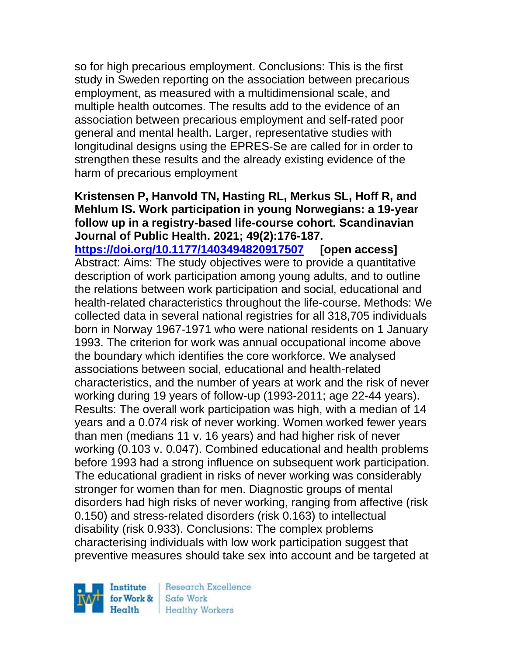so for high precarious employment. Conclusions: This is the first study in Sweden reporting on the association between precarious employment, as measured with a multidimensional scale, and multiple health outcomes. The results add to the evidence of an association between precarious employment and self-rated poor general and mental health. Larger, representative studies with longitudinal designs using the EPRES-Se are called for in order to strengthen these results and the already existing evidence of the harm of precarious employment

#### **Kristensen P, Hanvold TN, Hasting RL, Merkus SL, Hoff R, and Mehlum IS. Work participation in young Norwegians: a 19-year follow up in a registry-based life-course cohort. Scandinavian Journal of Public Health. 2021; 49(2):176-187.**

**<https://doi.org/10.1177/1403494820917507> [open access]** Abstract: Aims: The study objectives were to provide a quantitative description of work participation among young adults, and to outline the relations between work participation and social, educational and health-related characteristics throughout the life-course. Methods: We collected data in several national registries for all 318,705 individuals born in Norway 1967-1971 who were national residents on 1 January 1993. The criterion for work was annual occupational income above the boundary which identifies the core workforce. We analysed associations between social, educational and health-related characteristics, and the number of years at work and the risk of never working during 19 years of follow-up (1993-2011; age 22-44 years). Results: The overall work participation was high, with a median of 14 years and a 0.074 risk of never working. Women worked fewer years than men (medians 11 v. 16 years) and had higher risk of never working (0.103 v. 0.047). Combined educational and health problems before 1993 had a strong influence on subsequent work participation. The educational gradient in risks of never working was considerably stronger for women than for men. Diagnostic groups of mental disorders had high risks of never working, ranging from affective (risk 0.150) and stress-related disorders (risk 0.163) to intellectual disability (risk 0.933). Conclusions: The complex problems characterising individuals with low work participation suggest that preventive measures should take sex into account and be targeted at

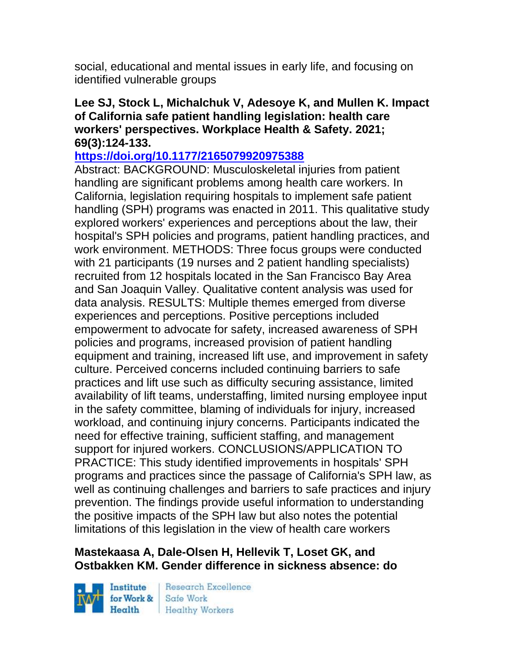social, educational and mental issues in early life, and focusing on identified vulnerable groups

#### **Lee SJ, Stock L, Michalchuk V, Adesoye K, and Mullen K. Impact of California safe patient handling legislation: health care workers' perspectives. Workplace Health & Safety. 2021; 69(3):124-133.**

### **<https://doi.org/10.1177/2165079920975388>**

Abstract: BACKGROUND: Musculoskeletal injuries from patient handling are significant problems among health care workers. In California, legislation requiring hospitals to implement safe patient handling (SPH) programs was enacted in 2011. This qualitative study explored workers' experiences and perceptions about the law, their hospital's SPH policies and programs, patient handling practices, and work environment. METHODS: Three focus groups were conducted with 21 participants (19 nurses and 2 patient handling specialists) recruited from 12 hospitals located in the San Francisco Bay Area and San Joaquin Valley. Qualitative content analysis was used for data analysis. RESULTS: Multiple themes emerged from diverse experiences and perceptions. Positive perceptions included empowerment to advocate for safety, increased awareness of SPH policies and programs, increased provision of patient handling equipment and training, increased lift use, and improvement in safety culture. Perceived concerns included continuing barriers to safe practices and lift use such as difficulty securing assistance, limited availability of lift teams, understaffing, limited nursing employee input in the safety committee, blaming of individuals for injury, increased workload, and continuing injury concerns. Participants indicated the need for effective training, sufficient staffing, and management support for injured workers. CONCLUSIONS/APPLICATION TO PRACTICE: This study identified improvements in hospitals' SPH programs and practices since the passage of California's SPH law, as well as continuing challenges and barriers to safe practices and injury prevention. The findings provide useful information to understanding the positive impacts of the SPH law but also notes the potential limitations of this legislation in the view of health care workers

### **Mastekaasa A, Dale-Olsen H, Hellevik T, Loset GK, and Ostbakken KM. Gender difference in sickness absence: do**

Institute Health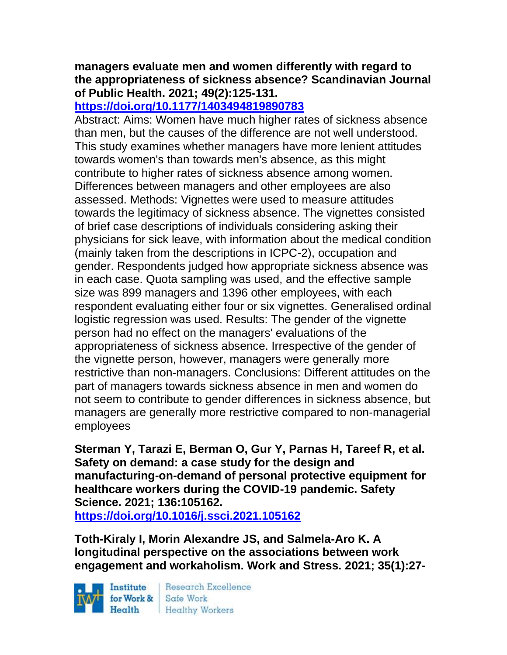### **managers evaluate men and women differently with regard to the appropriateness of sickness absence? Scandinavian Journal of Public Health. 2021; 49(2):125-131.**

## **<https://doi.org/10.1177/1403494819890783>**

Abstract: Aims: Women have much higher rates of sickness absence than men, but the causes of the difference are not well understood. This study examines whether managers have more lenient attitudes towards women's than towards men's absence, as this might contribute to higher rates of sickness absence among women. Differences between managers and other employees are also assessed. Methods: Vignettes were used to measure attitudes towards the legitimacy of sickness absence. The vignettes consisted of brief case descriptions of individuals considering asking their physicians for sick leave, with information about the medical condition (mainly taken from the descriptions in ICPC-2), occupation and gender. Respondents judged how appropriate sickness absence was in each case. Quota sampling was used, and the effective sample size was 899 managers and 1396 other employees, with each respondent evaluating either four or six vignettes. Generalised ordinal logistic regression was used. Results: The gender of the vignette person had no effect on the managers' evaluations of the appropriateness of sickness absence. Irrespective of the gender of the vignette person, however, managers were generally more restrictive than non-managers. Conclusions: Different attitudes on the part of managers towards sickness absence in men and women do not seem to contribute to gender differences in sickness absence, but managers are generally more restrictive compared to non-managerial employees

**Sterman Y, Tarazi E, Berman O, Gur Y, Parnas H, Tareef R, et al. Safety on demand: a case study for the design and manufacturing-on-demand of personal protective equipment for healthcare workers during the COVID-19 pandemic. Safety Science. 2021; 136:105162.**

**<https://doi.org/10.1016/j.ssci.2021.105162>** 

**Toth-Kiraly I, Morin Alexandre JS, and Salmela-Aro K. A longitudinal perspective on the associations between work engagement and workaholism. Work and Stress. 2021; 35(1):27-**

Institute Health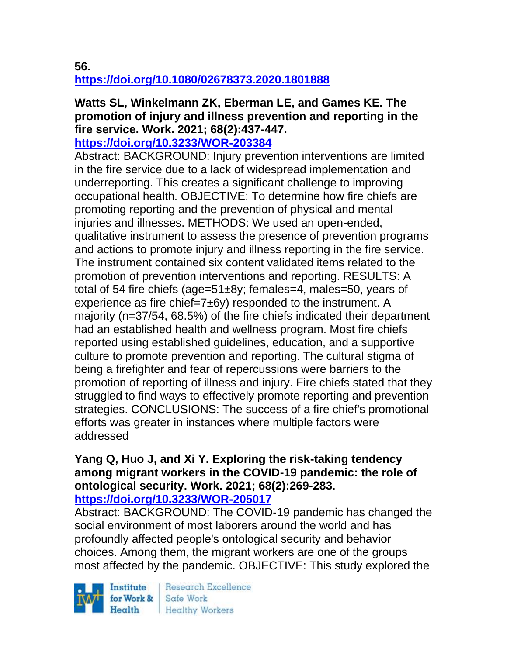**56.** 

**<https://doi.org/10.1080/02678373.2020.1801888>** 

# **Watts SL, Winkelmann ZK, Eberman LE, and Games KE. The promotion of injury and illness prevention and reporting in the fire service. Work. 2021; 68(2):437-447.**

**<https://doi.org/10.3233/WOR-203384>** 

Abstract: BACKGROUND: Injury prevention interventions are limited in the fire service due to a lack of widespread implementation and underreporting. This creates a significant challenge to improving occupational health. OBJECTIVE: To determine how fire chiefs are promoting reporting and the prevention of physical and mental injuries and illnesses. METHODS: We used an open-ended, qualitative instrument to assess the presence of prevention programs and actions to promote injury and illness reporting in the fire service. The instrument contained six content validated items related to the promotion of prevention interventions and reporting. RESULTS: A total of 54 fire chiefs (age=51±8y; females=4, males=50, years of experience as fire chief=7±6y) responded to the instrument. A majority (n=37/54, 68.5%) of the fire chiefs indicated their department had an established health and wellness program. Most fire chiefs reported using established guidelines, education, and a supportive culture to promote prevention and reporting. The cultural stigma of being a firefighter and fear of repercussions were barriers to the promotion of reporting of illness and injury. Fire chiefs stated that they struggled to find ways to effectively promote reporting and prevention strategies. CONCLUSIONS: The success of a fire chief's promotional efforts was greater in instances where multiple factors were addressed

#### **Yang Q, Huo J, and Xi Y. Exploring the risk-taking tendency among migrant workers in the COVID-19 pandemic: the role of ontological security. Work. 2021; 68(2):269-283. <https://doi.org/10.3233/WOR-205017>**

Abstract: BACKGROUND: The COVID-19 pandemic has changed the social environment of most laborers around the world and has profoundly affected people's ontological security and behavior choices. Among them, the migrant workers are one of the groups most affected by the pandemic. OBJECTIVE: This study explored the

Institute